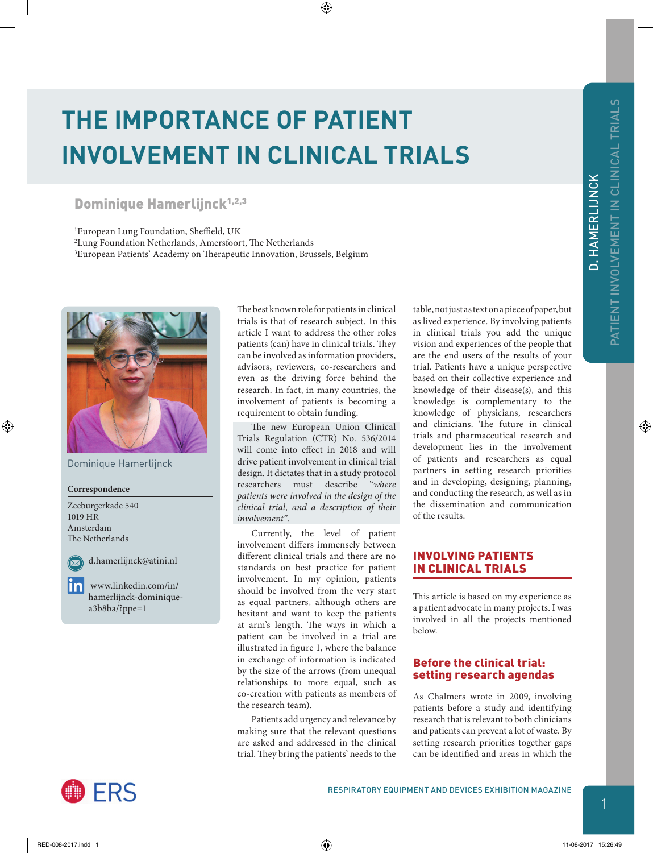⊕

D. HAMERLIJNCK

# **THE IMPORTANCE OF PATIENT INVOLVEMENT IN CLINICAL TRIALS**

# Dominique Hamerlijnck<sup>1,2,3</sup>

1European Lung Foundation, Sheffield, UK 2Lung Foundation Netherlands, Amersfoort, The Netherlands 3 European Patients' Academy on Therapeutic Innovation, Brussels, Belgium



Dominique Hamerlijnck

**Correspondence**

Zeeburgerkade 540 1019 HR Amsterdam The Netherlands



◈

d.hamerlijnck@atini.nl

linl [www.linkedin.com/in/](http://www.linkedin.com/in/hamerlijnck-dominique-a3b8ba/?ppe=1) [hamerlijnck-dominique](http://www.linkedin.com/in/hamerlijnck-dominique-a3b8ba/?ppe=1)[a3b8ba/?ppe=1](http://www.linkedin.com/in/hamerlijnck-dominique-a3b8ba/?ppe=1)

The best known role for patients in clinical trials is that of research subject. In this article I want to address the other roles patients (can) have in clinical trials. They can be involved as information providers, advisors, reviewers, co-researchers and even as the driving force behind the research. In fact, in many countries, the involvement of patients is becoming a requirement to obtain funding.

⊕

The new European Union Clinical Trials Regulation (CTR) No. 536/2014 will come into effect in 2018 and will drive patient involvement in clinical trial design. It dictates that in a study protocol researchers must describe "*where patients were involved in the design of the clinical trial, and a description of their involvement*".

Currently, the level of patient involvement differs immensely between different clinical trials and there are no standards on best practice for patient involvement. In my opinion, patients should be involved from the very start as equal partners, although others are hesitant and want to keep the patients at arm's length. The ways in which a patient can be involved in a trial are illustrated in [figure 1](#page-1-0), where the balance in exchange of information is indicated by the size of the arrows (from unequal relationships to more equal, such as co-creation with patients as members of the research team).

Patients add urgency and relevance by making sure that the relevant questions are asked and addressed in the clinical trial. They bring the patients' needs to the

table, not just as text on a piece of paper, but as lived experience. By involving patients in clinical trials you add the unique vision and experiences of the people that are the end users of the results of your trial. Patients have a unique perspective based on their collective experience and knowledge of their disease(s), and this knowledge is complementary to the knowledge of physicians, researchers and clinicians. The future in clinical trials and pharmaceutical research and development lies in the involvement of patients and researchers as equal partners in setting research priorities and in developing, designing, planning, and conducting the research, as well as in the dissemination and communication of the results.

# INVOLVING PATIENTS IN CLINICAL TRIALS

This article is based on my experience as a patient advocate in many projects. I was involved in all the projects mentioned below.

# Before the clinical trial: setting research agendas

As Chalmers wrote in 2009, involving patients before a study and identifying research that is relevant to both clinicians and patients can prevent a lot of waste. By setting research priorities together gaps can be identified and areas in which the

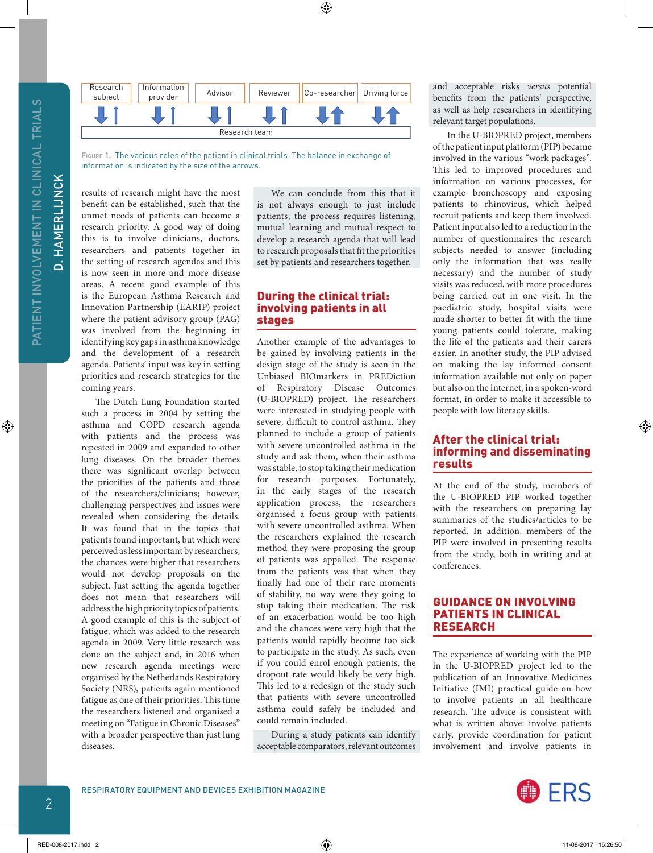PATIENT INVOLVEMENT IN CLINICAL TRIALS PATIENT INVOLVEMENT IN CLINICAL TRIALS **D. HAMERLIJNCK** 

◈

D. HAMERLIJNCK



<span id="page-1-0"></span>**Figure 1.** The various roles of the patient in clinical trials. The balance in exchange of information is indicated by the size of the arrows.

results of research might have the most benefit can be established, such that the unmet needs of patients can become a research priority. A good way of doing this is to involve clinicians, doctors, researchers and patients together in the setting of research agendas and this is now seen in more and more disease areas. A recent good example of this is the European Asthma Research and Innovation Partnership (EARIP) project where the patient advisory group (PAG) was involved from the beginning in identifying key gaps in asthma knowledge and the development of a research agenda. Patients' input was key in setting priorities and research strategies for the coming years.

The Dutch Lung Foundation started such a process in 2004 by setting the asthma and COPD research agenda with patients and the process was repeated in 2009 and expanded to other lung diseases. On the broader themes there was significant overlap between the priorities of the patients and those of the researchers/clinicians; however, challenging perspectives and issues were revealed when considering the details. It was found that in the topics that patients found important, but which were perceived as less important by researchers, the chances were higher that researchers would not develop proposals on the subject. Just setting the agenda together does not mean that researchers will address the high priority topics of patients. A good example of this is the subject of fatigue, which was added to the research agenda in 2009. Very little research was done on the subject and, in 2016 when new research agenda meetings were organised by the Netherlands Respiratory Society (NRS), patients again mentioned fatigue as one of their priorities. This time the researchers listened and organised a meeting on "Fatigue in Chronic Diseases" with a broader perspective than just lung diseases.

We can conclude from this that it is not always enough to just include patients, the process requires listening, mutual learning and mutual respect to develop a research agenda that will lead to research proposals that fit the priorities set by patients and researchers together.

 $\bigoplus$ 

#### During the clinical trial: involving patients in all stages

Another example of the advantages to be gained by involving patients in the design stage of the study is seen in the Unbiased BIOmarkers in PREDiction of Respiratory Disease Outcomes (U-BIOPRED) project. The researchers were interested in studying people with severe, difficult to control asthma. They planned to include a group of patients with severe uncontrolled asthma in the study and ask them, when their asthma was stable, to stop taking their medication for research purposes. Fortunately, in the early stages of the research application process, the researchers organised a focus group with patients with severe uncontrolled asthma. When the researchers explained the research method they were proposing the group of patients was appalled. The response from the patients was that when they finally had one of their rare moments of stability, no way were they going to stop taking their medication. The risk of an exacerbation would be too high and the chances were very high that the patients would rapidly become too sick to participate in the study. As such, even if you could enrol enough patients, the dropout rate would likely be very high. This led to a redesign of the study such that patients with severe uncontrolled asthma could safely be included and could remain included.

During a study patients can identify acceptable comparators, relevant outcomes

and acceptable risks *versus* potential benefits from the patients' perspective, as well as help researchers in identifying relevant target populations.

In the U-BIOPRED project, members of the patient input platform (PIP) became involved in the various "work packages". This led to improved procedures and information on various processes, for example bronchoscopy and exposing patients to rhinovirus, which helped recruit patients and keep them involved. Patient input also led to a reduction in the number of questionnaires the research subjects needed to answer (including only the information that was really necessary) and the number of study visits was reduced, with more procedures being carried out in one visit. In the paediatric study, hospital visits were made shorter to better fit with the time young patients could tolerate, making the life of the patients and their carers easier. In another study, the PIP advised on making the lay informed consent information available not only on paper but also on the internet, in a spoken-word format, in order to make it accessible to people with low literacy skills.

#### After the clinical trial: informing and disseminating results

At the end of the study, members of the U-BIOPRED PIP worked together with the researchers on preparing lay summaries of the studies/articles to be reported. In addition, members of the PIP were involved in presenting results from the study, both in writing and at conferences.

#### GUIDANCE ON INVOLVING PATIENTS IN CLINICAL RESEARCH

The experience of working with the PIP in the U-BIOPRED project led to the publication of an Innovative Medicines Initiative (IMI) practical guide on how to involve patients in all healthcare research. The advice is consistent with what is written above: involve patients early, provide coordination for patient involvement and involve patients in



RED-008-2017.indd 2 11-08-2017 15:26:50

◈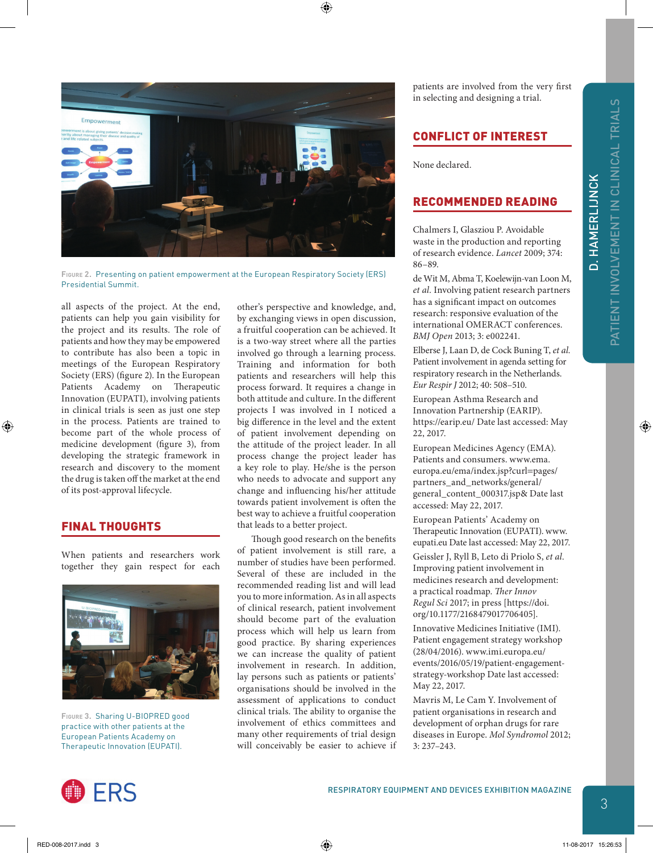◈

D. HAMERLIJNCK

D. HAMERLIJNCK





**Figure 2.** Presenting on patient empowerment at the European Respiratory Society (ERS) Presidential Summit.

<span id="page-2-0"></span>all aspects of the project. At the end, patients can help you gain visibility for the project and its results. The role of patients and how they may be empowered to contribute has also been a topic in meetings of the European Respiratory Society (ERS) [\(figure 2](#page-2-0)). In the European Patients Academy on Therapeutic Innovation (EUPATI), involving patients in clinical trials is seen as just one step in the process. Patients are trained to become part of the whole process of medicine development [\(figure 3\)](#page-2-1), from developing the strategic framework in research and discovery to the moment the drug is taken off the market at the end of its post-approval lifecycle.

# FINAL THOUGHTS

⊕

When patients and researchers work together they gain respect for each



<span id="page-2-1"></span>**Figure 3.** Sharing U-BIOPRED good practice with other patients at the European Patients Academy on Therapeutic Innovation (EUPATI).

other's perspective and knowledge, and, by exchanging views in open discussion, a fruitful cooperation can be achieved. It is a two-way street where all the parties involved go through a learning process. Training and information for both patients and researchers will help this process forward. It requires a change in both attitude and culture. In the different projects I was involved in I noticed a big difference in the level and the extent of patient involvement depending on the attitude of the project leader. In all process change the project leader has a key role to play. He/she is the person who needs to advocate and support any change and influencing his/her attitude towards patient involvement is often the best way to achieve a fruitful cooperation that leads to a better project.

Though good research on the benefits of patient involvement is still rare, a number of studies have been performed. Several of these are included in the recommended reading list and will lead you to more information. As in all aspects of clinical research, patient involvement should become part of the evaluation process which will help us learn from good practice. By sharing experiences we can increase the quality of patient involvement in research. In addition, lay persons such as patients or patients' organisations should be involved in the assessment of applications to conduct clinical trials. The ability to organise the involvement of ethics committees and many other requirements of trial design will conceivably be easier to achieve if

patients are involved from the very first in selecting and designing a trial.

# CONFLICT OF INTEREST

None declared.

#### RECOMMENDED READING

Chalmers I, Glasziou P. Avoidable waste in the production and reporting of research evidence. *Lancet* 2009; 374: 86–89.

de Wit M, Abma T, Koelewijn-van Loon M, *et al.* Involving patient research partners has a significant impact on outcomes research: responsive evaluation of the international OMERACT conferences. *BMJ Open* 2013; 3: e002241.

Elberse J, Laan D, de Cock Buning T, *et al.* Patient involvement in agenda setting for respiratory research in the Netherlands. *Eur Respir J* 2012; 40: 508–510.

European Asthma Research and Innovation Partnership (EARIP). https://earip.eu/ Date last accessed: May 22, 2017.

European Medicines Agency (EMA). Patients and consumers. [www.ema.](http://www.ema.europa.eu/ema/index.jsp?curl=pages/partners_and_networks/general/general_content_000317.jsp&) [europa.eu/ema/index.jsp?curl](http://www.ema.europa.eu/ema/index.jsp?curl=pages/partners_and_networks/general/general_content_000317.jsp&)=pages/ [partners\\_and\\_networks/general/](http://www.ema.europa.eu/ema/index.jsp?curl=pages/partners_and_networks/general/general_content_000317.jsp&) [general\\_content\\_000317.jsp&](http://www.ema.europa.eu/ema/index.jsp?curl=pages/partners_and_networks/general/general_content_000317.jsp&) Date last accessed: May 22, 2017.

European Patients' Academy on Therapeutic Innovation (EUPATI). www. eupati.eu Date last accessed: May 22, 2017.

Geissler J, Ryll B, Leto di Priolo S, *et al.* Improving patient involvement in medicines research and development: a practical roadmap. *Ther Innov Regul Sci* 2017; in press [[https://doi.](https://doi.org/10.1177/2168479017706405) [org/10.1177/2168479017706405\]](https://doi.org/10.1177/2168479017706405).

Innovative Medicines Initiative (IMI). Patient engagement strategy workshop (28/04/2016). [www.imi.europa.eu/](http://www.imi.europa.eu/events/2016/05/19/patient-engagement-strategy-workshop) [events/2016/05/19/patient-engagement](http://www.imi.europa.eu/events/2016/05/19/patient-engagement-strategy-workshop)[strategy-workshop](http://www.imi.europa.eu/events/2016/05/19/patient-engagement-strategy-workshop) Date last accessed: May 22, 2017.

Mavris M, Le Cam Y. Involvement of patient organisations in research and development of orphan drugs for rare diseases in Europe. *Mol Syndromol* 2012; 3: 237–243.